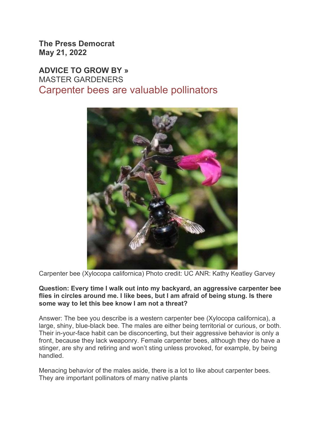The Press Democrat May 21, 2022

## ADVICE TO GROW BY » MASTER GARDENERS Carpenter bees are valuable pollinators



Carpenter bee (Xylocopa californica) Photo credit: UC ANR: Kathy Keatley Garvey

## Question: Every time I walk out into my backyard, an aggressive carpenter bee flies in circles around me. I like bees, but I am afraid of being stung. Is there some way to let this bee know I am not a threat?

Answer: The bee you describe is a western carpenter bee (Xylocopa californica), a large, shiny, blue-black bee. The males are either being territorial or curious, or both. Their in-your-face habit can be disconcerting, but their aggressive behavior is only a front, because they lack weaponry. Female carpenter bees, although they do have a stinger, are shy and retiring and won't sting unless provoked, for example, by being handled.

Menacing behavior of the males aside, there is a lot to like about carpenter bees. They are important pollinators of many native plants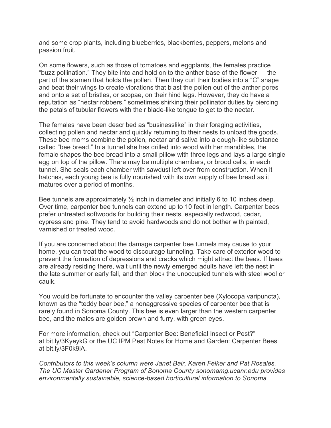and some crop plants, including blueberries, blackberries, peppers, melons and passion fruit.

On some flowers, such as those of tomatoes and eggplants, the females practice "buzz pollination." They bite into and hold on to the anther base of the flower — the part of the stamen that holds the pollen. Then they curl their bodies into a "C" shape and beat their wings to create vibrations that blast the pollen out of the anther pores and onto a set of bristles, or scopae, on their hind legs. However, they do have a reputation as "nectar robbers," sometimes shirking their pollinator duties by piercing the petals of tubular flowers with their blade-like tongue to get to the nectar.

The females have been described as "businesslike" in their foraging activities, collecting pollen and nectar and quickly returning to their nests to unload the goods. These bee moms combine the pollen, nectar and saliva into a dough-like substance called "bee bread." In a tunnel she has drilled into wood with her mandibles, the female shapes the bee bread into a small pillow with three legs and lays a large single egg on top of the pillow. There may be multiple chambers, or brood cells, in each tunnel. She seals each chamber with sawdust left over from construction. When it hatches, each young bee is fully nourished with its own supply of bee bread as it matures over a period of months.

Bee tunnels are approximately  $\frac{1}{2}$  inch in diameter and initially 6 to 10 inches deep. Over time, carpenter bee tunnels can extend up to 10 feet in length. Carpenter bees prefer untreated softwoods for building their nests, especially redwood, cedar, cypress and pine. They tend to avoid hardwoods and do not bother with painted, varnished or treated wood.

If you are concerned about the damage carpenter bee tunnels may cause to your home, you can treat the wood to discourage tunneling. Take care of exterior wood to prevent the formation of depressions and cracks which might attract the bees. If bees are already residing there, wait until the newly emerged adults have left the nest in the late summer or early fall, and then block the unoccupied tunnels with steel wool or caulk.

You would be fortunate to encounter the valley carpenter bee (Xylocopa varipuncta), known as the "teddy bear bee," a nonaggressive species of carpenter bee that is rarely found in Sonoma County. This bee is even larger than the western carpenter bee, and the males are golden brown and furry, with green eyes.

For more information, check out "Carpenter Bee: Beneficial Insect or Pest?" at bit.ly/3KyeykG or the UC IPM Pest Notes for Home and Garden: Carpenter Bees at bit.ly/3F0k9iA.

Contributors to this week's column were Janet Bair, Karen Felker and Pat Rosales. The UC Master Gardener Program of Sonoma County sonomamg.ucanr.edu provides environmentally sustainable, science-based horticultural information to Sonoma